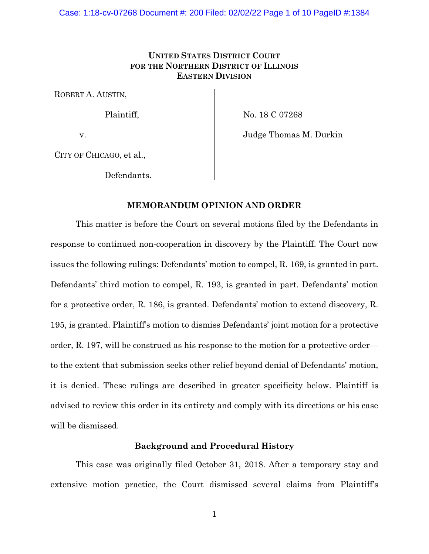# **UNITED STATES DISTRICT COURT FOR THE NORTHERN DISTRICT OF ILLINOIS EASTERN DIVISION**

ROBERT A. AUSTIN,

Plaintiff,

No. 18 C 07268

v.

Judge Thomas M. Durkin

CITY OF CHICAGO, et al.,

Defendants.

# **MEMORANDUM OPINION AND ORDER**

This matter is before the Court on several motions filed by the Defendants in response to continued non-cooperation in discovery by the Plaintiff. The Court now issues the following rulings: Defendants' motion to compel, R. 169, is granted in part. Defendants' third motion to compel, R. 193, is granted in part. Defendants' motion for a protective order, R. 186, is granted. Defendants' motion to extend discovery, R. 195, is granted. Plaintiff's motion to dismiss Defendants' joint motion for a protective order, R. 197, will be construed as his response to the motion for a protective order to the extent that submission seeks other relief beyond denial of Defendants' motion, it is denied. These rulings are described in greater specificity below. Plaintiff is advised to review this order in its entirety and comply with its directions or his case will be dismissed.

# **Background and Procedural History**

This case was originally filed October 31, 2018. After a temporary stay and extensive motion practice, the Court dismissed several claims from Plaintiff's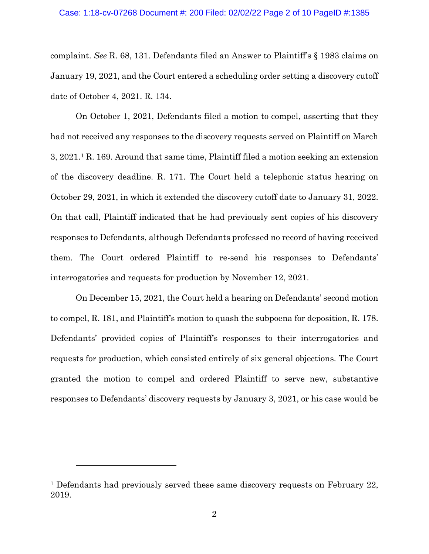complaint. *See* R. 68, 131. Defendants filed an Answer to Plaintiff's § 1983 claims on January 19, 2021, and the Court entered a scheduling order setting a discovery cutoff date of October 4, 2021. R. 134.

On October 1, 2021, Defendants filed a motion to compel, asserting that they had not received any responses to the discovery requests served on Plaintiff on March 3, 2021.1 R. 169. Around that same time, Plaintiff filed a motion seeking an extension of the discovery deadline. R. 171. The Court held a telephonic status hearing on October 29, 2021, in which it extended the discovery cutoff date to January 31, 2022. On that call, Plaintiff indicated that he had previously sent copies of his discovery responses to Defendants, although Defendants professed no record of having received them. The Court ordered Plaintiff to re-send his responses to Defendants' interrogatories and requests for production by November 12, 2021.

On December 15, 2021, the Court held a hearing on Defendants' second motion to compel, R. 181, and Plaintiff's motion to quash the subpoena for deposition, R. 178. Defendants' provided copies of Plaintiff's responses to their interrogatories and requests for production, which consisted entirely of six general objections. The Court granted the motion to compel and ordered Plaintiff to serve new, substantive responses to Defendants' discovery requests by January 3, 2021, or his case would be

<sup>&</sup>lt;sup>1</sup> Defendants had previously served these same discovery requests on February 22, 2019.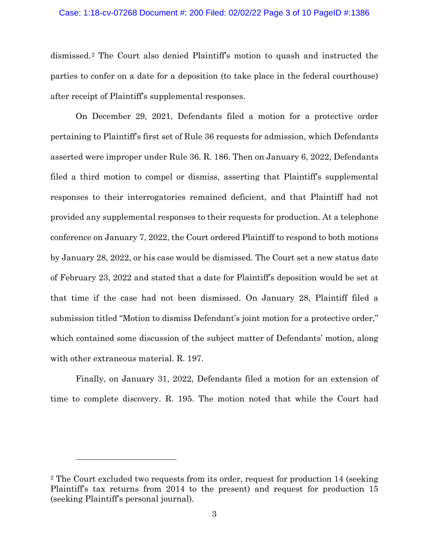#### Case: 1:18-cv-07268 Document #: 200 Filed: 02/02/22 Page 3 of 10 PageID #:1386

dismissed.2 The Court also denied Plaintiff's motion to quash and instructed the parties to confer on a date for a deposition (to take place in the federal courthouse) after receipt of Plaintiff's supplemental responses.

On December 29, 2021, Defendants filed a motion for a protective order pertaining to Plaintiff's first set of Rule 36 requests for admission, which Defendants asserted were improper under Rule 36. R. 186. Then on January 6, 2022, Defendants filed a third motion to compel or dismiss, asserting that Plaintiff's supplemental responses to their interrogatories remained deficient, and that Plaintiff had not provided any supplemental responses to their requests for production. At a telephone conference on January 7, 2022, the Court ordered Plaintiff to respond to both motions by January 28, 2022, or his case would be dismissed. The Court set a new status date of February 23, 2022 and stated that a date for Plaintiff's deposition would be set at that time if the case had not been dismissed. On January 28, Plaintiff filed a submission titled "Motion to dismiss Defendant's joint motion for a protective order," which contained some discussion of the subject matter of Defendants' motion, along with other extraneous material. R. 197.

Finally, on January 31, 2022, Defendants filed a motion for an extension of time to complete discovery. R. 195. The motion noted that while the Court had

<sup>2</sup> The Court excluded two requests from its order, request for production 14 (seeking Plaintiff's tax returns from 2014 to the present) and request for production 15 (seeking Plaintiff's personal journal).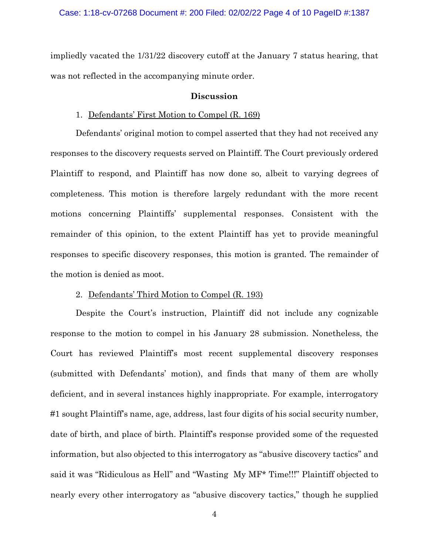impliedly vacated the 1/31/22 discovery cutoff at the January 7 status hearing, that was not reflected in the accompanying minute order.

### **Discussion**

### 1. Defendants' First Motion to Compel (R. 169)

Defendants' original motion to compel asserted that they had not received any responses to the discovery requests served on Plaintiff. The Court previously ordered Plaintiff to respond, and Plaintiff has now done so, albeit to varying degrees of completeness. This motion is therefore largely redundant with the more recent motions concerning Plaintiffs' supplemental responses. Consistent with the remainder of this opinion, to the extent Plaintiff has yet to provide meaningful responses to specific discovery responses, this motion is granted. The remainder of the motion is denied as moot.

# 2. Defendants' Third Motion to Compel (R. 193)

Despite the Court's instruction, Plaintiff did not include any cognizable response to the motion to compel in his January 28 submission. Nonetheless, the Court has reviewed Plaintiff's most recent supplemental discovery responses (submitted with Defendants' motion), and finds that many of them are wholly deficient, and in several instances highly inappropriate. For example, interrogatory #1 sought Plaintiff's name, age, address, last four digits of his social security number, date of birth, and place of birth. Plaintiff's response provided some of the requested information, but also objected to this interrogatory as "abusive discovery tactics" and said it was "Ridiculous as Hell" and "Wasting My MF\* Time!!!" Plaintiff objected to nearly every other interrogatory as "abusive discovery tactics," though he supplied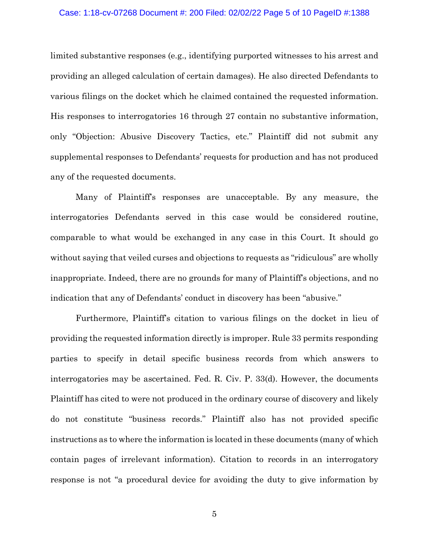### Case: 1:18-cv-07268 Document #: 200 Filed: 02/02/22 Page 5 of 10 PageID #:1388

limited substantive responses (e.g., identifying purported witnesses to his arrest and providing an alleged calculation of certain damages). He also directed Defendants to various filings on the docket which he claimed contained the requested information. His responses to interrogatories 16 through 27 contain no substantive information, only "Objection: Abusive Discovery Tactics, etc." Plaintiff did not submit any supplemental responses to Defendants' requests for production and has not produced any of the requested documents.

Many of Plaintiff's responses are unacceptable. By any measure, the interrogatories Defendants served in this case would be considered routine, comparable to what would be exchanged in any case in this Court. It should go without saying that veiled curses and objections to requests as "ridiculous" are wholly inappropriate. Indeed, there are no grounds for many of Plaintiff's objections, and no indication that any of Defendants' conduct in discovery has been "abusive."

Furthermore, Plaintiff's citation to various filings on the docket in lieu of providing the requested information directly is improper. Rule 33 permits responding parties to specify in detail specific business records from which answers to interrogatories may be ascertained. Fed. R. Civ. P. 33(d). However, the documents Plaintiff has cited to were not produced in the ordinary course of discovery and likely do not constitute "business records." Plaintiff also has not provided specific instructions as to where the information is located in these documents (many of which contain pages of irrelevant information). Citation to records in an interrogatory response is not "a procedural device for avoiding the duty to give information by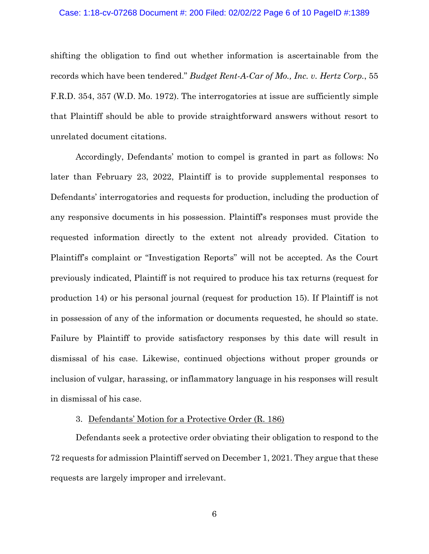### Case: 1:18-cv-07268 Document #: 200 Filed: 02/02/22 Page 6 of 10 PageID #:1389

shifting the obligation to find out whether information is ascertainable from the records which have been tendered." *Budget Rent-A-Car of Mo., Inc. v. Hertz Corp.*, 55 F.R.D. 354, 357 (W.D. Mo. 1972). The interrogatories at issue are sufficiently simple that Plaintiff should be able to provide straightforward answers without resort to unrelated document citations.

Accordingly, Defendants' motion to compel is granted in part as follows: No later than February 23, 2022, Plaintiff is to provide supplemental responses to Defendants' interrogatories and requests for production, including the production of any responsive documents in his possession. Plaintiff's responses must provide the requested information directly to the extent not already provided. Citation to Plaintiff's complaint or "Investigation Reports" will not be accepted. As the Court previously indicated, Plaintiff is not required to produce his tax returns (request for production 14) or his personal journal (request for production 15). If Plaintiff is not in possession of any of the information or documents requested, he should so state. Failure by Plaintiff to provide satisfactory responses by this date will result in dismissal of his case. Likewise, continued objections without proper grounds or inclusion of vulgar, harassing, or inflammatory language in his responses will result in dismissal of his case.

# 3. Defendants' Motion for a Protective Order (R. 186)

Defendants seek a protective order obviating their obligation to respond to the 72 requests for admission Plaintiff served on December 1, 2021. They argue that these requests are largely improper and irrelevant.

6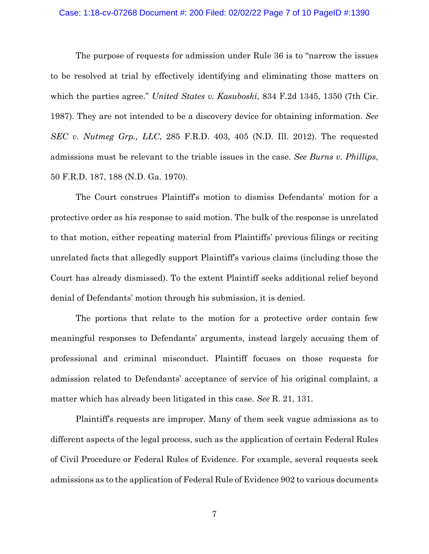#### Case: 1:18-cv-07268 Document #: 200 Filed: 02/02/22 Page 7 of 10 PageID #:1390

The purpose of requests for admission under Rule 36 is to "narrow the issues to be resolved at trial by effectively identifying and eliminating those matters on which the parties agree." *United States v. Kasuboski*, 834 F.2d 1345, 1350 (7th Cir. 1987). They are not intended to be a discovery device for obtaining information. *See SEC v. Nutmeg Grp., LLC*, 285 F.R.D. 403, 405 (N.D. Ill. 2012). The requested admissions must be relevant to the triable issues in the case. *See Burns v. Phillips*, 50 F.R.D. 187, 188 (N.D. Ga. 1970).

The Court construes Plaintiff's motion to dismiss Defendants' motion for a protective order as his response to said motion. The bulk of the response is unrelated to that motion, either repeating material from Plaintiffs' previous filings or reciting unrelated facts that allegedly support Plaintiff's various claims (including those the Court has already dismissed). To the extent Plaintiff seeks additional relief beyond denial of Defendants' motion through his submission, it is denied.

The portions that relate to the motion for a protective order contain few meaningful responses to Defendants' arguments, instead largely accusing them of professional and criminal misconduct. Plaintiff focuses on those requests for admission related to Defendants' acceptance of service of his original complaint, a matter which has already been litigated in this case. *See* R. 21, 131.

Plaintiff's requests are improper. Many of them seek vague admissions as to different aspects of the legal process, such as the application of certain Federal Rules of Civil Procedure or Federal Rules of Evidence. For example, several requests seek admissions as to the application of Federal Rule of Evidence 902 to various documents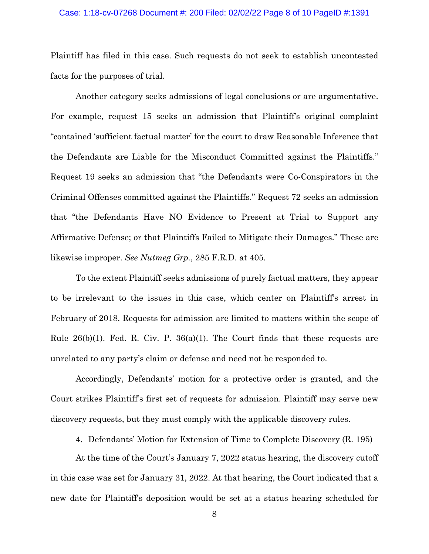#### Case: 1:18-cv-07268 Document #: 200 Filed: 02/02/22 Page 8 of 10 PageID #:1391

Plaintiff has filed in this case. Such requests do not seek to establish uncontested facts for the purposes of trial.

Another category seeks admissions of legal conclusions or are argumentative. For example, request 15 seeks an admission that Plaintiff's original complaint "contained 'sufficient factual matter' for the court to draw Reasonable Inference that the Defendants are Liable for the Misconduct Committed against the Plaintiffs." Request 19 seeks an admission that "the Defendants were Co-Conspirators in the Criminal Offenses committed against the Plaintiffs." Request 72 seeks an admission that "the Defendants Have NO Evidence to Present at Trial to Support any Affirmative Defense; or that Plaintiffs Failed to Mitigate their Damages." These are likewise improper. *See Nutmeg Grp.*, 285 F.R.D. at 405.

To the extent Plaintiff seeks admissions of purely factual matters, they appear to be irrelevant to the issues in this case, which center on Plaintiff's arrest in February of 2018. Requests for admission are limited to matters within the scope of Rule  $26(b)(1)$ . Fed. R. Civ. P.  $36(a)(1)$ . The Court finds that these requests are unrelated to any party's claim or defense and need not be responded to.

Accordingly, Defendants' motion for a protective order is granted, and the Court strikes Plaintiff's first set of requests for admission. Plaintiff may serve new discovery requests, but they must comply with the applicable discovery rules.

### 4. Defendants' Motion for Extension of Time to Complete Discovery (R. 195)

At the time of the Court's January 7, 2022 status hearing, the discovery cutoff in this case was set for January 31, 2022. At that hearing, the Court indicated that a new date for Plaintiff's deposition would be set at a status hearing scheduled for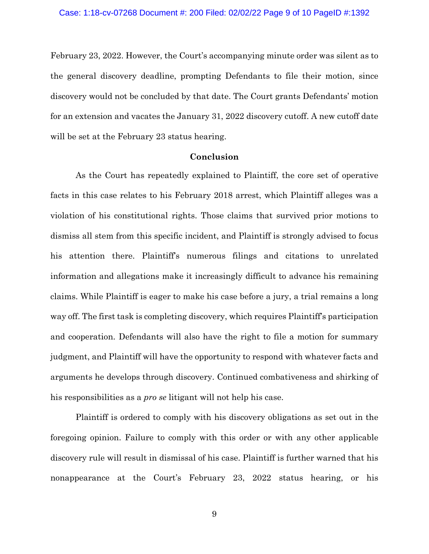February 23, 2022. However, the Court's accompanying minute order was silent as to the general discovery deadline, prompting Defendants to file their motion, since discovery would not be concluded by that date. The Court grants Defendants' motion for an extension and vacates the January 31, 2022 discovery cutoff. A new cutoff date will be set at the February 23 status hearing.

### **Conclusion**

As the Court has repeatedly explained to Plaintiff, the core set of operative facts in this case relates to his February 2018 arrest, which Plaintiff alleges was a violation of his constitutional rights. Those claims that survived prior motions to dismiss all stem from this specific incident, and Plaintiff is strongly advised to focus his attention there. Plaintiff's numerous filings and citations to unrelated information and allegations make it increasingly difficult to advance his remaining claims. While Plaintiff is eager to make his case before a jury, a trial remains a long way off. The first task is completing discovery, which requires Plaintiff's participation and cooperation. Defendants will also have the right to file a motion for summary judgment, and Plaintiff will have the opportunity to respond with whatever facts and arguments he develops through discovery. Continued combativeness and shirking of his responsibilities as a *pro se* litigant will not help his case.

Plaintiff is ordered to comply with his discovery obligations as set out in the foregoing opinion. Failure to comply with this order or with any other applicable discovery rule will result in dismissal of his case. Plaintiff is further warned that his nonappearance at the Court's February 23, 2022 status hearing, or his

9